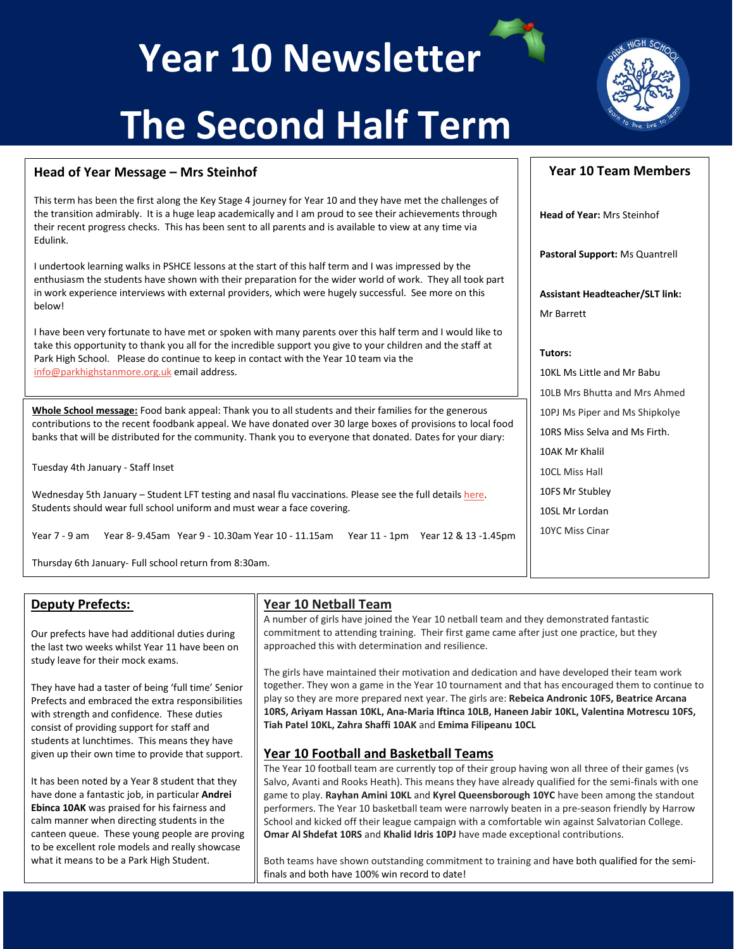## **Year 10 Newsletter**

# **The Second Half Term**

### **Head of Year Message – Mrs Steinhof**

This term has been the first along the Key Stage 4 journey for Year 10 and they have met the challenges of the transition admirably. It is a huge leap academically and I am proud to see their achievements through their recent progress checks. This has been sent to all parents and is available to view at any time via Edulink.

I undertook learning walks in PSHCE lessons at the start of this half term and I was impressed by the enthusiasm the students have shown with their preparation for the wider world of work. They all took part in work experience interviews with external providers, which were hugely successful. See more on this below!

I have been very fortunate to have met or spoken with many parents over this half term and I would like to take this opportunity to thank you all for the incredible support you give to your children and the staff at Park High School. Please do continue to keep in contact with the Year 10 team via the [info@parkhighstanmore.org.uk](mailto:info@parkhighstanmore.org.uk) email address.

We look forward to welcoming  $\mathcal{A}$  in the Spring Term ready to continue working to achieve working hard to achieve Whole School message: Food bank appeal: Thank you to all students and their families for the generous contributions to the recent foodbank appeal. We have donated over 30 large boxes of provisions to local food banks that will be distributed for the community. Thank you to everyone that donated. Dates for your diary:

Tuesday 4th January - Staff Inset

Wednesday 5th January - Student LFT testing and nasal flu vaccinations. Please see the full detail[s here.](https://www.parkhighstanmore.org.uk/_site/data/files/files/95617A296E546AD723D0CA88FFF910F9.pdf) Students should wear full school uniform and must wear a face covering.

Year 7 - 9 am Year 8- 9.45am Year 9 - 10.30am Year 10 - 11.15am Year 11 - 1pm Year 12 & 13 -1.45pm

Thursday 6th January- Full school return from 8:30am.

### **Deputy Prefects:**

Our prefects have had additional duties during the last two weeks whilst Year 11 have been on study leave for their mock exams.

They have had a taster of being 'full time' Senior Prefects and embraced the extra responsibilities with strength and confidence. These duties consist of providing support for staff and students at lunchtimes. This means they have given up their own time to provide that support.

It has been noted by a Year 8 student that they have done a fantastic job, in particular **Andrei Ebinca 10AK** was praised for his fairness and calm manner when directing students in the canteen queue. These young people are proving to be excellent role models and really showcase what it means to be a Park High Student.

### **Year 10 Netball Team**

A number of girls have joined the Year 10 netball team and they demonstrated fantastic commitment to attending training. Their first game came after just one practice, but they approached this with determination and resilience.

The girls have maintained their motivation and dedication and have developed their team work together. They won a game in the Year 10 tournament and that has encouraged them to continue to play so they are more prepared next year. The girls are: **Rebeica Andronic 10FS, Beatrice Arcana 10RS, Ariyam Hassan 10KL, Ana-Maria Iftinca 10LB, Haneen Jabir 10KL, Valentina Motrescu 10FS, Tiah Patel 10KL, Zahra Shaffi 10AK** and **Emima Filipeanu 10CL**

### **Year 10 Football and Basketball Teams**

The Year 10 football team are currently top of their group having won all three of their games (vs Salvo, Avanti and Rooks Heath). This means they have already qualified for the semi-finals with one game to play. **Rayhan Amini 10KL** and **Kyrel Queensborough 10YC** have been among the standout performers. The Year 10 basketball team were narrowly beaten in a pre-season friendly by Harrow School and kicked off their league campaign with a comfortable win against Salvatorian College. **Omar Al Shdefat 10RS** and **Khalid Idris 10PJ** have made exceptional contributions.

Both teams have shown outstanding commitment to training and have both qualified for the semifinals and both have 100% win record to date!

## **Head of Year:** Mrs Steinhof **Pastoral Support:** Ms Quantrell **Assistant Headteacher/SLT link:**  Mr Barrett **Tutors:** 10KL Ms Little and Mr Babu

10LB Mrs Bhutta and Mrs Ahmed 10PJ Ms Piper and Ms Shipkolye 10RS Miss Selva and Ms Firth. 10AK Mr Khalil 10CL Miss Hall 10FS Mr Stubley 10SL Mr Lordan 10YC Miss Cinar

**Year 10 Team Members**